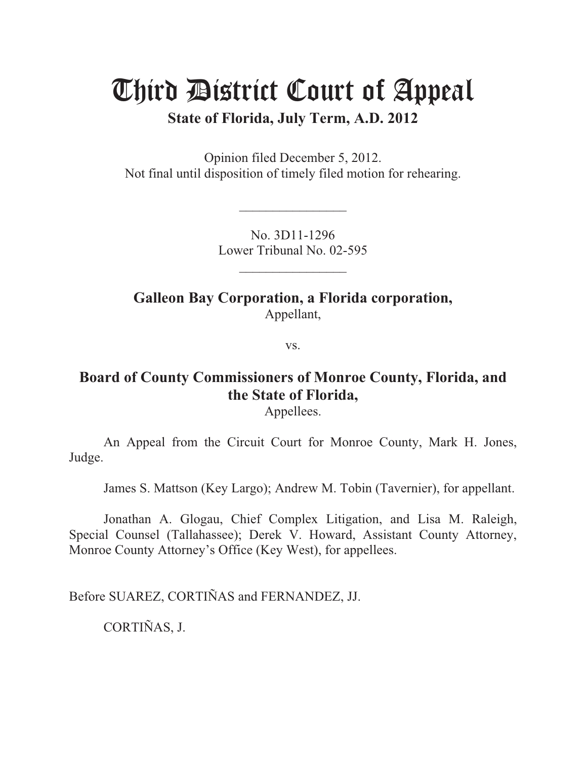# Third District Court of Appeal

**State of Florida, July Term, A.D. 2012** 

Opinion filed December 5, 2012. Not final until disposition of timely filed motion for rehearing.

> No. 3D11-1296 Lower Tribunal No. 02-595

> > $\overline{\phantom{a}}$  , where  $\overline{\phantom{a}}$

 $\overline{\phantom{a}}$  , where  $\overline{\phantom{a}}$ 

**Galleon Bay Corporation, a Florida corporation,**  Appellant,

vs.

# **Board of County Commissioners of Monroe County, Florida, and the State of Florida,**

Appellees.

 An Appeal from the Circuit Court for Monroe County, Mark H. Jones, Judge.

James S. Mattson (Key Largo); Andrew M. Tobin (Tavernier), for appellant.

 Jonathan A. Glogau, Chief Complex Litigation, and Lisa M. Raleigh, Special Counsel (Tallahassee); Derek V. Howard, Assistant County Attorney, Monroe County Attorney's Office (Key West), for appellees.

Before SUAREZ, CORTIÑAS and FERNANDEZ, JJ.

CORTIÑAS, J.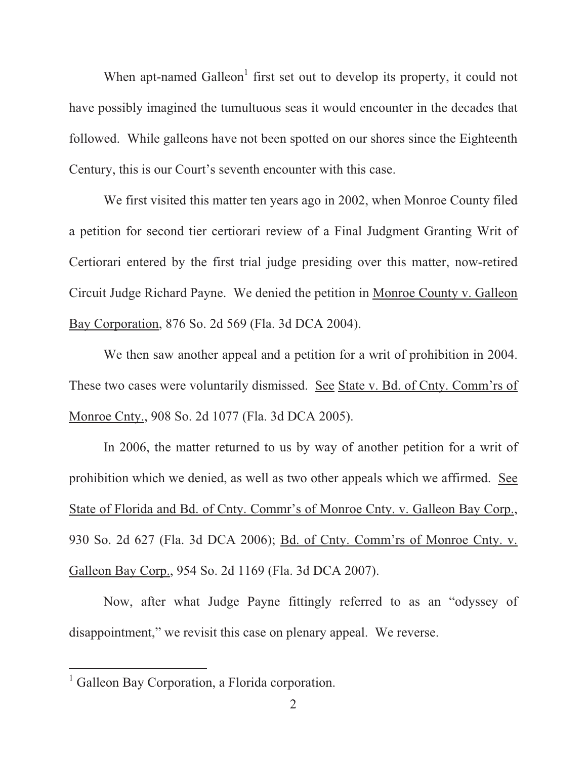When apt-named Galleon<sup>1</sup> first set out to develop its property, it could not have possibly imagined the tumultuous seas it would encounter in the decades that followed. While galleons have not been spotted on our shores since the Eighteenth Century, this is our Court's seventh encounter with this case.

We first visited this matter ten years ago in 2002, when Monroe County filed a petition for second tier certiorari review of a Final Judgment Granting Writ of Certiorari entered by the first trial judge presiding over this matter, now-retired Circuit Judge Richard Payne. We denied the petition in Monroe County v. Galleon Bay Corporation, 876 So. 2d 569 (Fla. 3d DCA 2004).

We then saw another appeal and a petition for a writ of prohibition in 2004. These two cases were voluntarily dismissed. See State v. Bd. of Cnty. Comm'rs of Monroe Cnty., 908 So. 2d 1077 (Fla. 3d DCA 2005).

In 2006, the matter returned to us by way of another petition for a writ of prohibition which we denied, as well as two other appeals which we affirmed. See State of Florida and Bd. of Cnty. Commr's of Monroe Cnty. v. Galleon Bay Corp., 930 So. 2d 627 (Fla. 3d DCA 2006); Bd. of Cnty. Comm'rs of Monroe Cnty. v. Galleon Bay Corp., 954 So. 2d 1169 (Fla. 3d DCA 2007).

Now, after what Judge Payne fittingly referred to as an "odyssey of disappointment," we revisit this case on plenary appeal. We reverse.

<sup>&</sup>lt;sup>1</sup> Galleon Bay Corporation, a Florida corporation.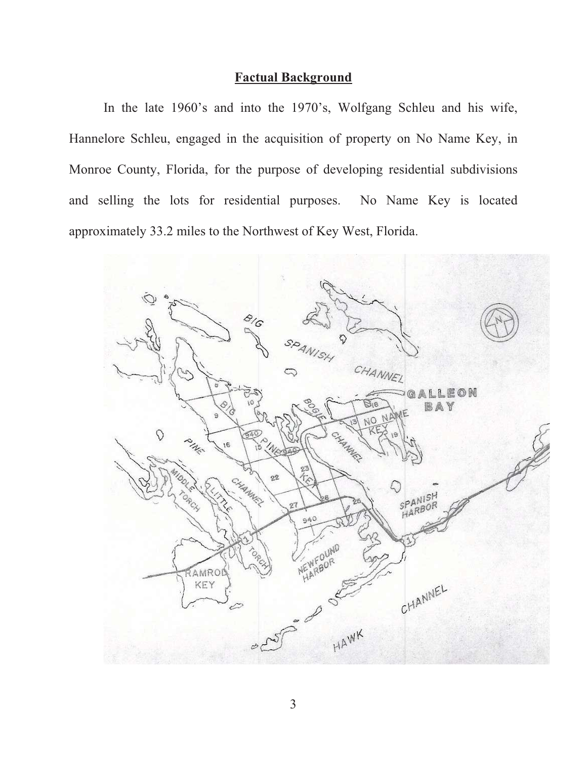## **Factual Background**

In the late 1960's and into the 1970's, Wolfgang Schleu and his wife, Hannelore Schleu, engaged in the acquisition of property on No Name Key, in Monroe County, Florida, for the purpose of developing residential subdivisions and selling the lots for residential purposes. No Name Key is located approximately 33.2 miles to the Northwest of Key West, Florida.

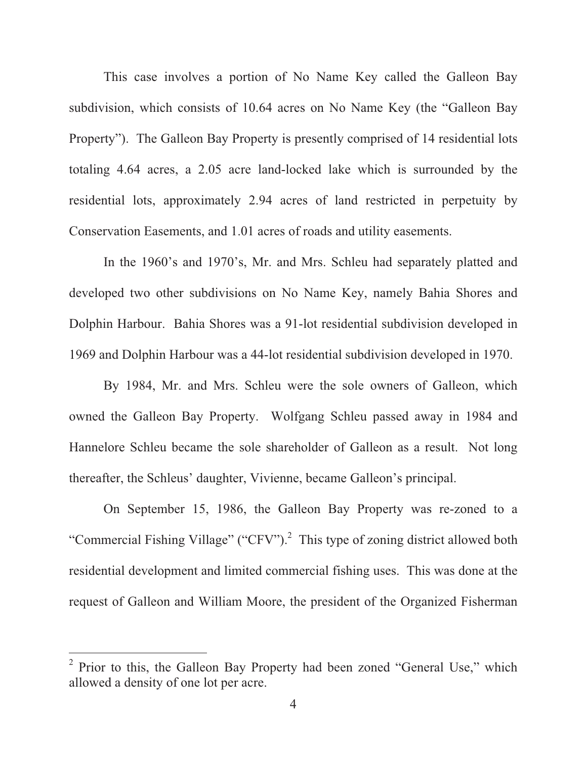This case involves a portion of No Name Key called the Galleon Bay subdivision, which consists of 10.64 acres on No Name Key (the "Galleon Bay Property"). The Galleon Bay Property is presently comprised of 14 residential lots totaling 4.64 acres, a 2.05 acre land-locked lake which is surrounded by the residential lots, approximately 2.94 acres of land restricted in perpetuity by Conservation Easements, and 1.01 acres of roads and utility easements.

In the 1960's and 1970's, Mr. and Mrs. Schleu had separately platted and developed two other subdivisions on No Name Key, namely Bahia Shores and Dolphin Harbour. Bahia Shores was a 91-lot residential subdivision developed in 1969 and Dolphin Harbour was a 44-lot residential subdivision developed in 1970.

By 1984, Mr. and Mrs. Schleu were the sole owners of Galleon, which owned the Galleon Bay Property. Wolfgang Schleu passed away in 1984 and Hannelore Schleu became the sole shareholder of Galleon as a result. Not long thereafter, the Schleus' daughter, Vivienne, became Galleon's principal.

On September 15, 1986, the Galleon Bay Property was re-zoned to a "Commercial Fishing Village" ("CFV").<sup>2</sup> This type of zoning district allowed both residential development and limited commercial fishing uses. This was done at the request of Galleon and William Moore, the president of the Organized Fisherman

<sup>&</sup>lt;sup>2</sup> Prior to this, the Galleon Bay Property had been zoned "General Use," which allowed a density of one lot per acre.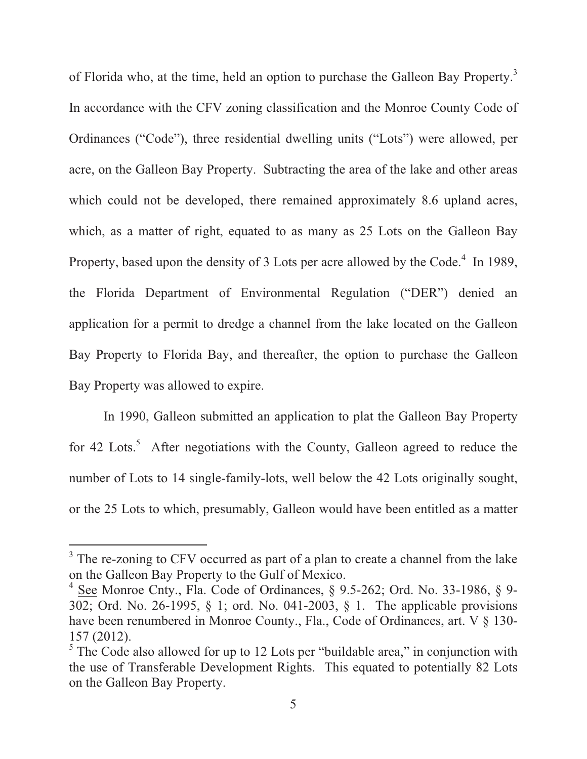of Florida who, at the time, held an option to purchase the Galleon Bay Property.<sup>3</sup> In accordance with the CFV zoning classification and the Monroe County Code of Ordinances ("Code"), three residential dwelling units ("Lots") were allowed, per acre, on the Galleon Bay Property. Subtracting the area of the lake and other areas which could not be developed, there remained approximately 8.6 upland acres, which, as a matter of right, equated to as many as 25 Lots on the Galleon Bay Property, based upon the density of 3 Lots per acre allowed by the Code.<sup>4</sup> In 1989, the Florida Department of Environmental Regulation ("DER") denied an application for a permit to dredge a channel from the lake located on the Galleon Bay Property to Florida Bay, and thereafter, the option to purchase the Galleon Bay Property was allowed to expire.

In 1990, Galleon submitted an application to plat the Galleon Bay Property for 42 Lots.<sup>5</sup> After negotiations with the County, Galleon agreed to reduce the number of Lots to 14 single-family-lots, well below the 42 Lots originally sought, or the 25 Lots to which, presumably, Galleon would have been entitled as a matter

<sup>&</sup>lt;sup>3</sup> The re-zoning to CFV occurred as part of a plan to create a channel from the lake on the Galleon Bay Property to the Gulf of Mexico.

<sup>&</sup>lt;sup>4</sup> See Monroe Cnty., Fla. Code of Ordinances, § 9.5-262; Ord. No. 33-1986, § 9-302; Ord. No. 26-1995, § 1; ord. No. 041-2003, § 1. The applicable provisions have been renumbered in Monroe County., Fla., Code of Ordinances, art. V § 130-157 (2012).

 $<sup>5</sup>$  The Code also allowed for up to 12 Lots per "buildable area," in conjunction with</sup> the use of Transferable Development Rights. This equated to potentially 82 Lots on the Galleon Bay Property.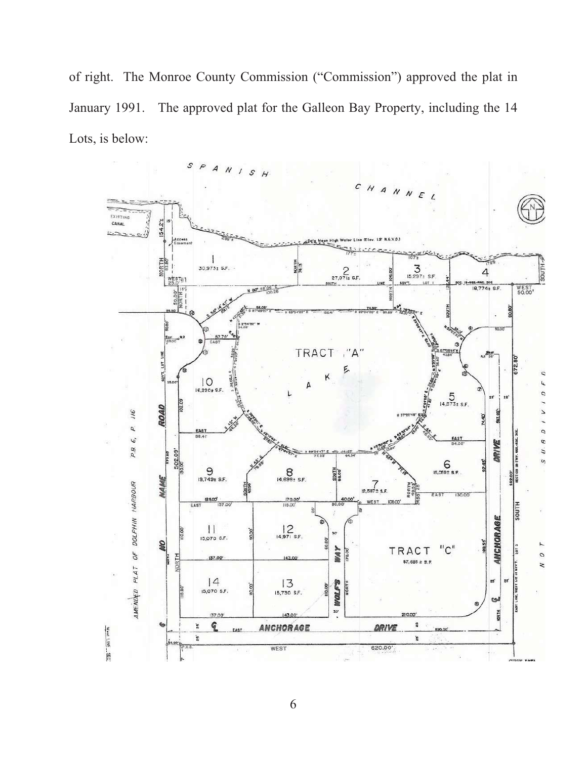of right. The Monroe County Commission ("Commission") approved the plat in January 1991. The approved plat for the Galleon Bay Property, including the 14 Lots, is below:

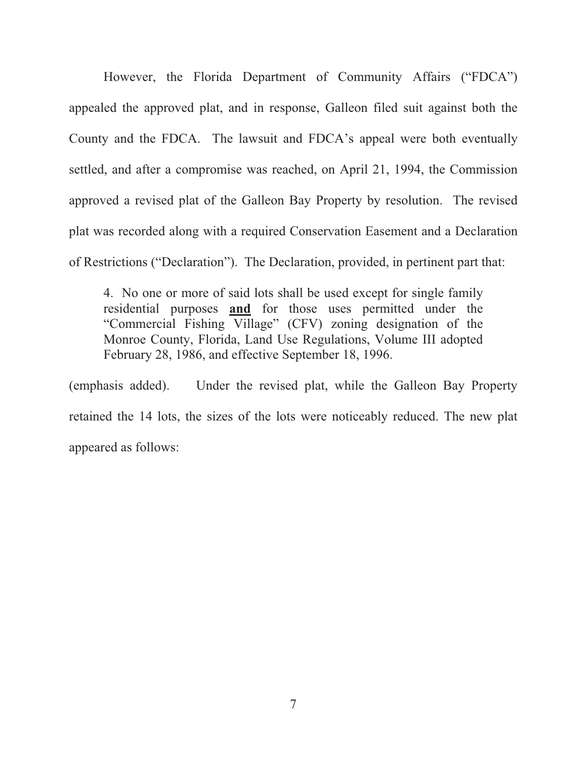However, the Florida Department of Community Affairs ("FDCA") appealed the approved plat, and in response, Galleon filed suit against both the County and the FDCA. The lawsuit and FDCA's appeal were both eventually settled, and after a compromise was reached, on April 21, 1994, the Commission approved a revised plat of the Galleon Bay Property by resolution. The revised plat was recorded along with a required Conservation Easement and a Declaration of Restrictions ("Declaration"). The Declaration, provided, in pertinent part that:

4. No one or more of said lots shall be used except for single family residential purposes **and** for those uses permitted under the "Commercial Fishing Village" (CFV) zoning designation of the Monroe County, Florida, Land Use Regulations, Volume III adopted February 28, 1986, and effective September 18, 1996.

(emphasis added). Under the revised plat, while the Galleon Bay Property retained the 14 lots, the sizes of the lots were noticeably reduced. The new plat appeared as follows: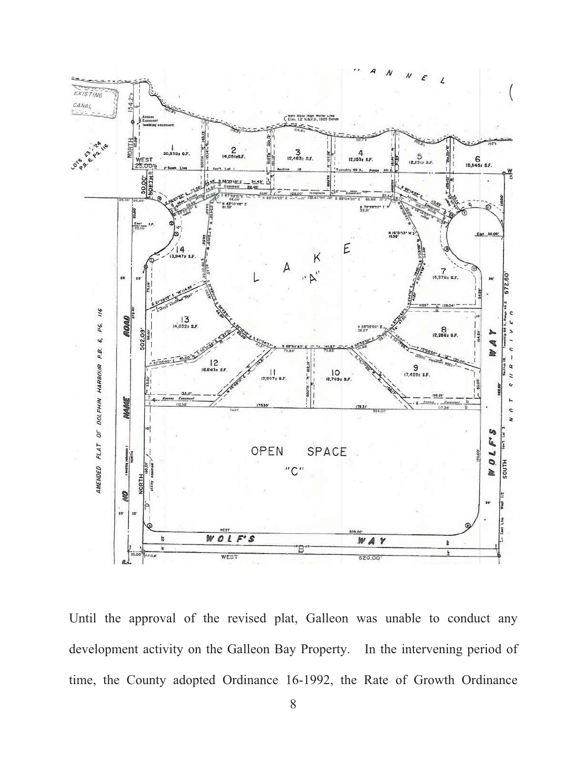

Until the approval of the revised plat, Galleon was unable to conduct any development activity on the Galleon Bay Property. In the intervening period of time, the County adopted Ordinance 16-1992, the Rate of Growth Ordinance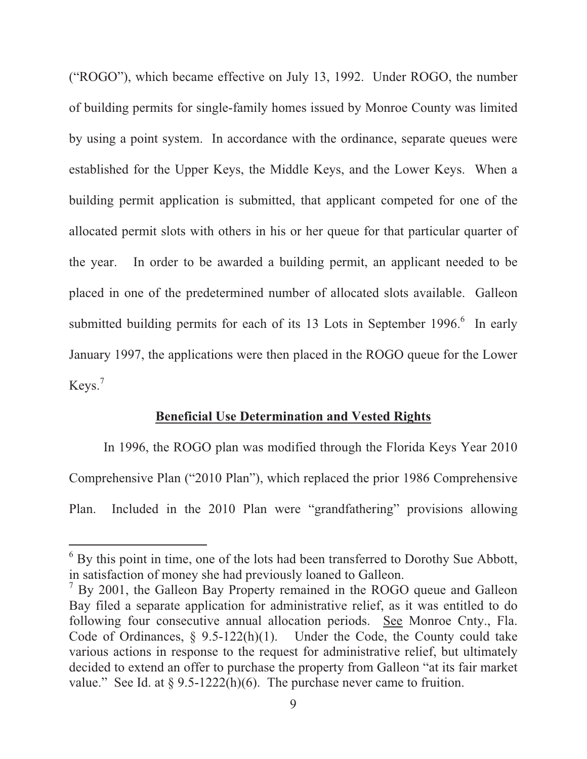("ROGO"), which became effective on July 13, 1992. Under ROGO, the number of building permits for single-family homes issued by Monroe County was limited by using a point system. In accordance with the ordinance, separate queues were established for the Upper Keys, the Middle Keys, and the Lower Keys. When a building permit application is submitted, that applicant competed for one of the allocated permit slots with others in his or her queue for that particular quarter of the year. In order to be awarded a building permit, an applicant needed to be placed in one of the predetermined number of allocated slots available. Galleon submitted building permits for each of its  $13$  Lots in September 1996. $6$  In early January 1997, the applications were then placed in the ROGO queue for the Lower Keys.<sup>7</sup>

### **Beneficial Use Determination and Vested Rights**

 In 1996, the ROGO plan was modified through the Florida Keys Year 2010 Comprehensive Plan ("2010 Plan"), which replaced the prior 1986 Comprehensive Plan. Included in the 2010 Plan were "grandfathering" provisions allowing

<sup>&</sup>lt;sup>6</sup> By this point in time, one of the lots had been transferred to Dorothy Sue Abbott, in satisfaction of money she had previously loaned to Galleon.

 $7$  By 2001, the Galleon Bay Property remained in the ROGO queue and Galleon Bay filed a separate application for administrative relief, as it was entitled to do following four consecutive annual allocation periods. See Monroe Cnty., Fla. Code of Ordinances,  $\S$  9.5-122(h)(1). Under the Code, the County could take various actions in response to the request for administrative relief, but ultimately decided to extend an offer to purchase the property from Galleon "at its fair market value." See Id. at  $\S 9.5-1222(h)(6)$ . The purchase never came to fruition.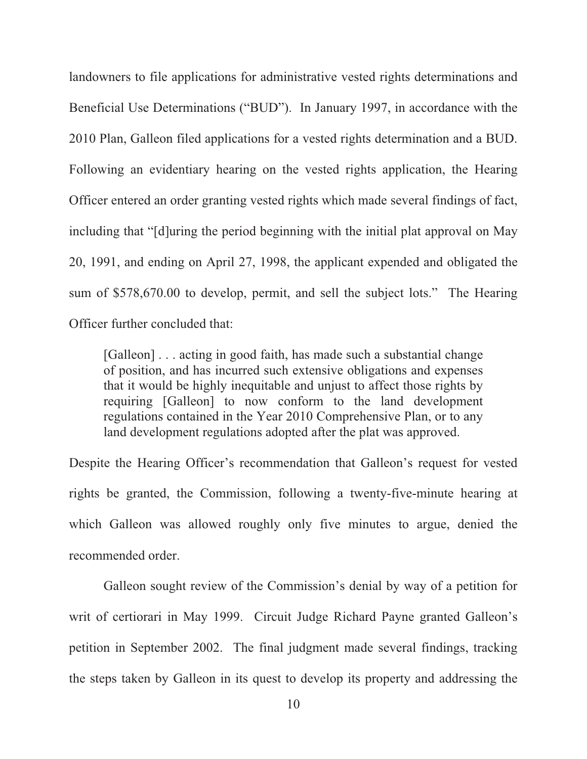landowners to file applications for administrative vested rights determinations and Beneficial Use Determinations ("BUD"). In January 1997, in accordance with the 2010 Plan, Galleon filed applications for a vested rights determination and a BUD. Following an evidentiary hearing on the vested rights application, the Hearing Officer entered an order granting vested rights which made several findings of fact, including that "[d]uring the period beginning with the initial plat approval on May 20, 1991, and ending on April 27, 1998, the applicant expended and obligated the sum of \$578,670.00 to develop, permit, and sell the subject lots." The Hearing Officer further concluded that:

[Galleon] . . . acting in good faith, has made such a substantial change of position, and has incurred such extensive obligations and expenses that it would be highly inequitable and unjust to affect those rights by requiring [Galleon] to now conform to the land development regulations contained in the Year 2010 Comprehensive Plan, or to any land development regulations adopted after the plat was approved.

Despite the Hearing Officer's recommendation that Galleon's request for vested rights be granted, the Commission, following a twenty-five-minute hearing at which Galleon was allowed roughly only five minutes to argue, denied the recommended order.

 Galleon sought review of the Commission's denial by way of a petition for writ of certiorari in May 1999. Circuit Judge Richard Payne granted Galleon's petition in September 2002. The final judgment made several findings, tracking the steps taken by Galleon in its quest to develop its property and addressing the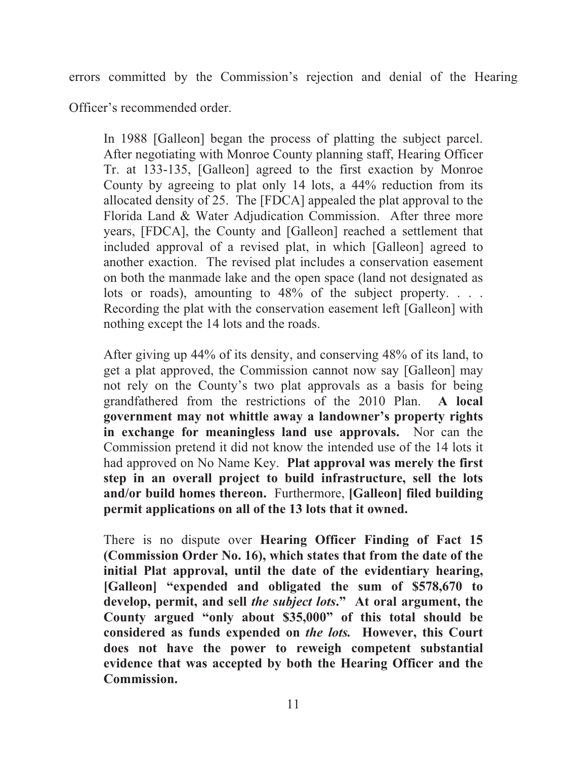errors committed by the Commission's rejection and denial of the Hearing

Officer's recommended order.

In 1988 [Galleon] began the process of platting the subject parcel. After negotiating with Monroe County planning staff, Hearing Officer Tr. at 133-135, [Galleon] agreed to the first exaction by Monroe County by agreeing to plat only 14 lots, a 44% reduction from its allocated density of 25. The [FDCA] appealed the plat approval to the Florida Land & Water Adjudication Commission. After three more years, [FDCA], the County and [Galleon] reached a settlement that included approval of a revised plat, in which [Galleon] agreed to another exaction. The revised plat includes a conservation easement on both the manmade lake and the open space (land not designated as lots or roads), amounting to 48% of the subject property. . . . Recording the plat with the conservation easement left [Galleon] with nothing except the 14 lots and the roads.

After giving up 44% of its density, and conserving 48% of its land, to get a plat approved, the Commission cannot now say [Galleon] may not rely on the County's two plat approvals as a basis for being grandfathered from the restrictions of the 2010 Plan. **A local government may not whittle away a landowner's property rights in exchange for meaningless land use approvals.** Nor can the Commission pretend it did not know the intended use of the 14 lots it had approved on No Name Key. **Plat approval was merely the first step in an overall project to build infrastructure, sell the lots and/or build homes thereon.** Furthermore, **[Galleon] filed building permit applications on all of the 13 lots that it owned.**

There is no dispute over **Hearing Officer Finding of Fact 15 (Commission Order No. 16), which states that from the date of the initial Plat approval, until the date of the evidentiary hearing, [Galleon] "expended and obligated the sum of \$578,670 to develop, permit, and sell** *the subject lots***." At oral argument, the County argued "only about \$35,000" of this total should be considered as funds expended on** *the lots.* **However, this Court does not have the power to reweigh competent substantial evidence that was accepted by both the Hearing Officer and the Commission.**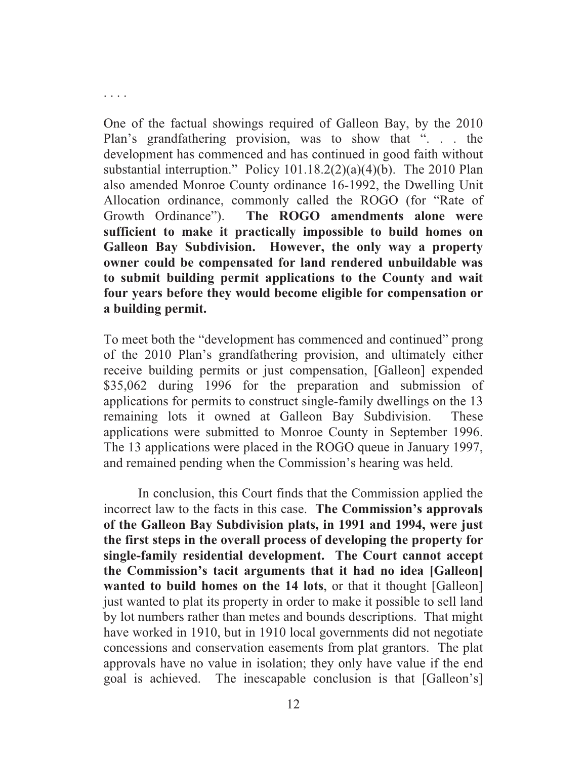. . . .

One of the factual showings required of Galleon Bay, by the 2010 Plan's grandfathering provision, was to show that ". . . the development has commenced and has continued in good faith without substantial interruption." Policy 101.18.2(2)(a)(4)(b). The 2010 Plan also amended Monroe County ordinance 16-1992, the Dwelling Unit Allocation ordinance, commonly called the ROGO (for "Rate of Growth Ordinance"). **The ROGO amendments alone were sufficient to make it practically impossible to build homes on Galleon Bay Subdivision. However, the only way a property owner could be compensated for land rendered unbuildable was to submit building permit applications to the County and wait four years before they would become eligible for compensation or a building permit.**

To meet both the "development has commenced and continued" prong of the 2010 Plan's grandfathering provision, and ultimately either receive building permits or just compensation, [Galleon] expended \$35,062 during 1996 for the preparation and submission of applications for permits to construct single-family dwellings on the 13 remaining lots it owned at Galleon Bay Subdivision. These applications were submitted to Monroe County in September 1996. The 13 applications were placed in the ROGO queue in January 1997, and remained pending when the Commission's hearing was held.

 In conclusion, this Court finds that the Commission applied the incorrect law to the facts in this case. **The Commission's approvals of the Galleon Bay Subdivision plats, in 1991 and 1994, were just the first steps in the overall process of developing the property for single-family residential development. The Court cannot accept the Commission's tacit arguments that it had no idea [Galleon] wanted to build homes on the 14 lots**, or that it thought [Galleon] just wanted to plat its property in order to make it possible to sell land by lot numbers rather than metes and bounds descriptions. That might have worked in 1910, but in 1910 local governments did not negotiate concessions and conservation easements from plat grantors. The plat approvals have no value in isolation; they only have value if the end goal is achieved. The inescapable conclusion is that [Galleon's]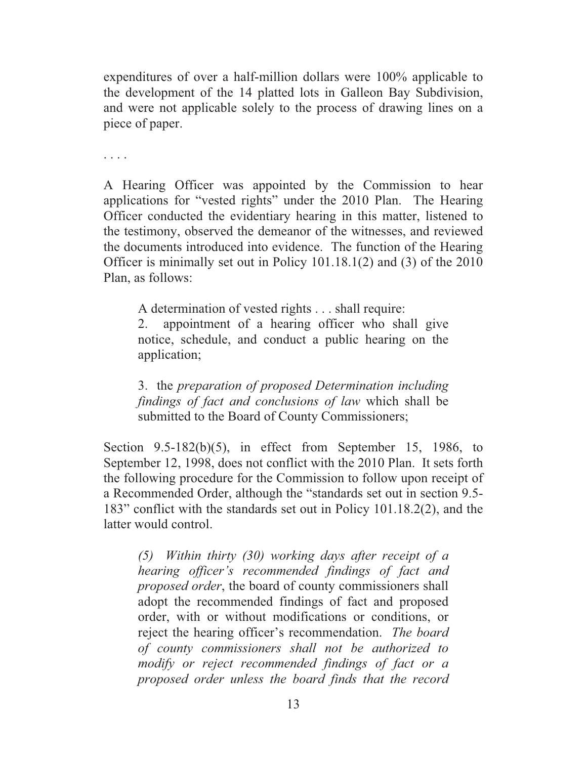expenditures of over a half-million dollars were 100% applicable to the development of the 14 platted lots in Galleon Bay Subdivision, and were not applicable solely to the process of drawing lines on a piece of paper.

. . . .

A Hearing Officer was appointed by the Commission to hear applications for "vested rights" under the 2010 Plan. The Hearing Officer conducted the evidentiary hearing in this matter, listened to the testimony, observed the demeanor of the witnesses, and reviewed the documents introduced into evidence. The function of the Hearing Officer is minimally set out in Policy 101.18.1(2) and (3) of the 2010 Plan, as follows:

A determination of vested rights . . . shall require:

2. appointment of a hearing officer who shall give notice, schedule, and conduct a public hearing on the application;

3. the *preparation of proposed Determination including findings of fact and conclusions of law* which shall be submitted to the Board of County Commissioners;

Section 9.5-182(b)(5), in effect from September 15, 1986, to September 12, 1998, does not conflict with the 2010 Plan. It sets forth the following procedure for the Commission to follow upon receipt of a Recommended Order, although the "standards set out in section 9.5- 183" conflict with the standards set out in Policy 101.18.2(2), and the latter would control.

*(5) Within thirty (30) working days after receipt of a hearing officer's recommended findings of fact and proposed order*, the board of county commissioners shall adopt the recommended findings of fact and proposed order, with or without modifications or conditions, or reject the hearing officer's recommendation. *The board of county commissioners shall not be authorized to modify or reject recommended findings of fact or a proposed order unless the board finds that the record*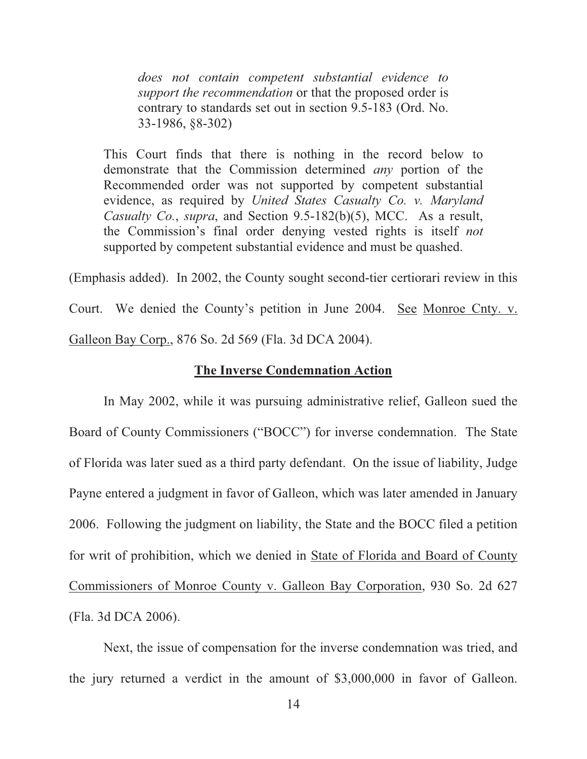*does not contain competent substantial evidence to support the recommendation* or that the proposed order is contrary to standards set out in section 9.5-183 (Ord. No. 33-1986, §8-302)

This Court finds that there is nothing in the record below to demonstrate that the Commission determined *any* portion of the Recommended order was not supported by competent substantial evidence, as required by *United States Casualty Co. v. Maryland Casualty Co.*, *supra*, and Section 9.5-182(b)(5), MCC. As a result, the Commission's final order denying vested rights is itself *not* supported by competent substantial evidence and must be quashed.

(Emphasis added). In 2002, the County sought second-tier certiorari review in this Court. We denied the County's petition in June 2004. See Monroe Cnty. v. Galleon Bay Corp., 876 So. 2d 569 (Fla. 3d DCA 2004).

#### **The Inverse Condemnation Action**

 In May 2002, while it was pursuing administrative relief, Galleon sued the Board of County Commissioners ("BOCC") for inverse condemnation. The State of Florida was later sued as a third party defendant. On the issue of liability, Judge Payne entered a judgment in favor of Galleon, which was later amended in January 2006. Following the judgment on liability, the State and the BOCC filed a petition for writ of prohibition, which we denied in State of Florida and Board of County Commissioners of Monroe County v. Galleon Bay Corporation, 930 So. 2d 627 (Fla. 3d DCA 2006).

Next, the issue of compensation for the inverse condemnation was tried, and the jury returned a verdict in the amount of \$3,000,000 in favor of Galleon.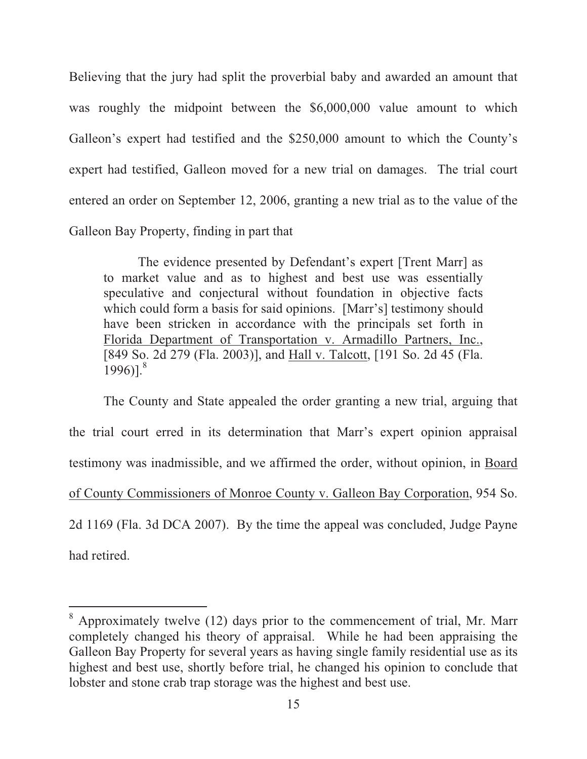Believing that the jury had split the proverbial baby and awarded an amount that was roughly the midpoint between the \$6,000,000 value amount to which Galleon's expert had testified and the \$250,000 amount to which the County's expert had testified, Galleon moved for a new trial on damages. The trial court entered an order on September 12, 2006, granting a new trial as to the value of the Galleon Bay Property, finding in part that

The evidence presented by Defendant's expert [Trent Marr] as to market value and as to highest and best use was essentially speculative and conjectural without foundation in objective facts which could form a basis for said opinions. [Marr's] testimony should have been stricken in accordance with the principals set forth in Florida Department of Transportation v. Armadillo Partners, Inc., [849 So. 2d 279 (Fla. 2003)], and Hall v. Talcott, [191 So. 2d 45 (Fla.  $1996$ ].<sup>8</sup>

 The County and State appealed the order granting a new trial, arguing that the trial court erred in its determination that Marr's expert opinion appraisal testimony was inadmissible, and we affirmed the order, without opinion, in Board of County Commissioners of Monroe County v. Galleon Bay Corporation, 954 So. 2d 1169 (Fla. 3d DCA 2007). By the time the appeal was concluded, Judge Payne had retired.

 $8$  Approximately twelve (12) days prior to the commencement of trial, Mr. Marr completely changed his theory of appraisal. While he had been appraising the Galleon Bay Property for several years as having single family residential use as its highest and best use, shortly before trial, he changed his opinion to conclude that lobster and stone crab trap storage was the highest and best use.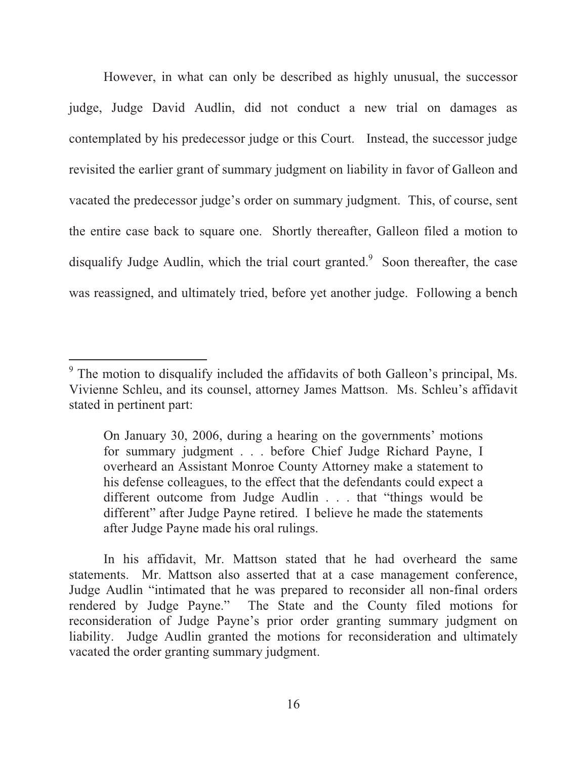However, in what can only be described as highly unusual, the successor judge, Judge David Audlin, did not conduct a new trial on damages as contemplated by his predecessor judge or this Court. Instead, the successor judge revisited the earlier grant of summary judgment on liability in favor of Galleon and vacated the predecessor judge's order on summary judgment. This, of course, sent the entire case back to square one. Shortly thereafter, Galleon filed a motion to disqualify Judge Audlin, which the trial court granted.<sup>9</sup> Soon thereafter, the case was reassigned, and ultimately tried, before yet another judge. Following a bench

<sup>&</sup>lt;sup>9</sup> The motion to disqualify included the affidavits of both Galleon's principal, Ms. Vivienne Schleu, and its counsel, attorney James Mattson. Ms. Schleu's affidavit stated in pertinent part:

On January 30, 2006, during a hearing on the governments' motions for summary judgment . . . before Chief Judge Richard Payne, I overheard an Assistant Monroe County Attorney make a statement to his defense colleagues, to the effect that the defendants could expect a different outcome from Judge Audlin . . . that "things would be different" after Judge Payne retired. I believe he made the statements after Judge Payne made his oral rulings.

In his affidavit, Mr. Mattson stated that he had overheard the same statements. Mr. Mattson also asserted that at a case management conference, Judge Audlin "intimated that he was prepared to reconsider all non-final orders rendered by Judge Payne." The State and the County filed motions for reconsideration of Judge Payne's prior order granting summary judgment on liability. Judge Audlin granted the motions for reconsideration and ultimately vacated the order granting summary judgment.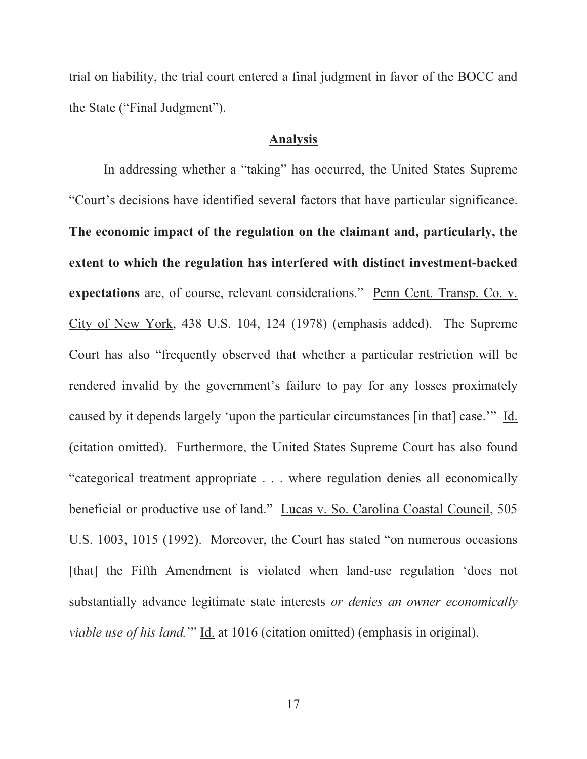trial on liability, the trial court entered a final judgment in favor of the BOCC and the State ("Final Judgment").

#### **Analysis**

In addressing whether a "taking" has occurred, the United States Supreme "Court's decisions have identified several factors that have particular significance. **The economic impact of the regulation on the claimant and, particularly, the extent to which the regulation has interfered with distinct investment-backed expectations** are, of course, relevant considerations." Penn Cent. Transp. Co. v. City of New York, 438 U.S. 104, 124 (1978) (emphasis added). The Supreme Court has also "frequently observed that whether a particular restriction will be rendered invalid by the government's failure to pay for any losses proximately caused by it depends largely 'upon the particular circumstances [in that] case.'" Id. (citation omitted). Furthermore, the United States Supreme Court has also found "categorical treatment appropriate . . . where regulation denies all economically beneficial or productive use of land." Lucas v. So. Carolina Coastal Council, 505 U.S. 1003, 1015 (1992). Moreover, the Court has stated "on numerous occasions [that] the Fifth Amendment is violated when land-use regulation 'does not substantially advance legitimate state interests *or denies an owner economically viable use of his land.*'" Id. at 1016 (citation omitted) (emphasis in original).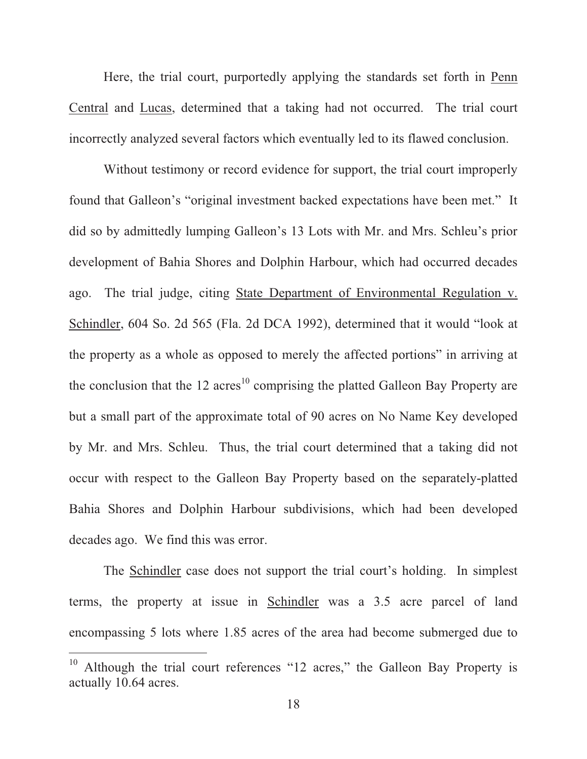Here, the trial court, purportedly applying the standards set forth in Penn Central and Lucas, determined that a taking had not occurred. The trial court incorrectly analyzed several factors which eventually led to its flawed conclusion.

Without testimony or record evidence for support, the trial court improperly found that Galleon's "original investment backed expectations have been met." It did so by admittedly lumping Galleon's 13 Lots with Mr. and Mrs. Schleu's prior development of Bahia Shores and Dolphin Harbour, which had occurred decades ago. The trial judge, citing State Department of Environmental Regulation v. Schindler, 604 So. 2d 565 (Fla. 2d DCA 1992), determined that it would "look at the property as a whole as opposed to merely the affected portions" in arriving at the conclusion that the 12 acres<sup>10</sup> comprising the platted Galleon Bay Property are but a small part of the approximate total of 90 acres on No Name Key developed by Mr. and Mrs. Schleu. Thus, the trial court determined that a taking did not occur with respect to the Galleon Bay Property based on the separately-platted Bahia Shores and Dolphin Harbour subdivisions, which had been developed decades ago. We find this was error.

The Schindler case does not support the trial court's holding. In simplest terms, the property at issue in Schindler was a 3.5 acre parcel of land encompassing 5 lots where 1.85 acres of the area had become submerged due to

<sup>&</sup>lt;sup>10</sup> Although the trial court references "12 acres," the Galleon Bay Property is actually 10.64 acres.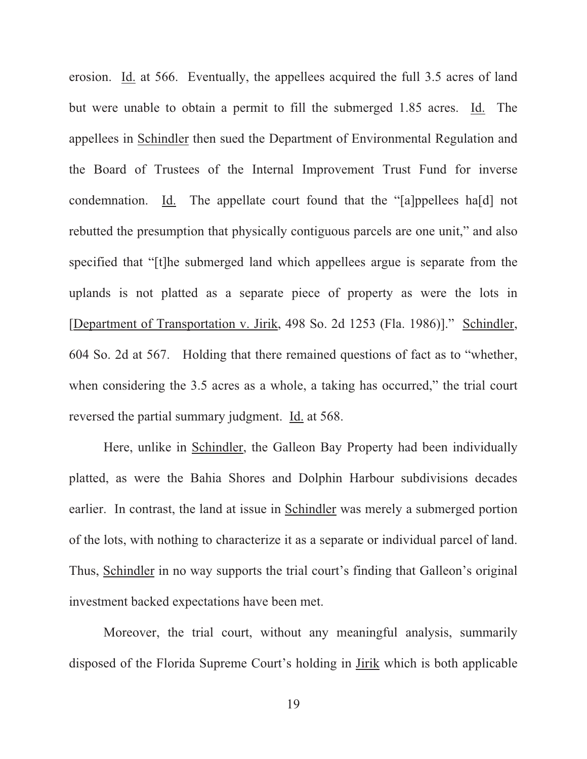erosion. Id. at 566. Eventually, the appellees acquired the full 3.5 acres of land but were unable to obtain a permit to fill the submerged 1.85 acres. Id. The appellees in Schindler then sued the Department of Environmental Regulation and the Board of Trustees of the Internal Improvement Trust Fund for inverse condemnation. Id. The appellate court found that the "[a]ppellees ha[d] not rebutted the presumption that physically contiguous parcels are one unit," and also specified that "[t]he submerged land which appellees argue is separate from the uplands is not platted as a separate piece of property as were the lots in [Department of Transportation v. Jirik, 498 So. 2d 1253 (Fla. 1986)]." Schindler, 604 So. 2d at 567. Holding that there remained questions of fact as to "whether, when considering the 3.5 acres as a whole, a taking has occurred," the trial court reversed the partial summary judgment. Id. at 568.

Here, unlike in Schindler, the Galleon Bay Property had been individually platted, as were the Bahia Shores and Dolphin Harbour subdivisions decades earlier. In contrast, the land at issue in Schindler was merely a submerged portion of the lots, with nothing to characterize it as a separate or individual parcel of land. Thus, Schindler in no way supports the trial court's finding that Galleon's original investment backed expectations have been met.

Moreover, the trial court, without any meaningful analysis, summarily disposed of the Florida Supreme Court's holding in Jirik which is both applicable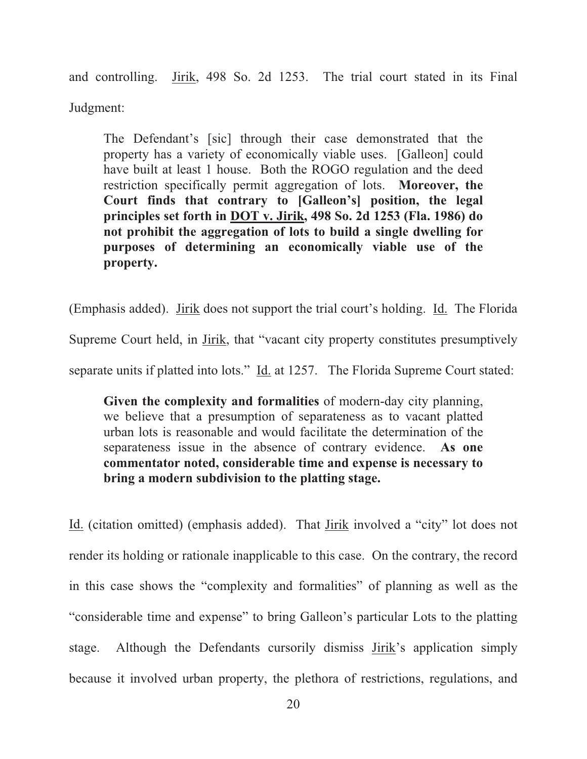and controlling. Jirik, 498 So. 2d 1253. The trial court stated in its Final Judgment:

The Defendant's [sic] through their case demonstrated that the property has a variety of economically viable uses. [Galleon] could have built at least 1 house. Both the ROGO regulation and the deed restriction specifically permit aggregation of lots. **Moreover, the Court finds that contrary to [Galleon's] position, the legal principles set forth in DOT v. Jirik, 498 So. 2d 1253 (Fla. 1986) do not prohibit the aggregation of lots to build a single dwelling for purposes of determining an economically viable use of the property.**

(Emphasis added). Jirik does not support the trial court's holding. Id. The Florida Supreme Court held, in Jirik, that "vacant city property constitutes presumptively separate units if platted into lots." Id. at 1257. The Florida Supreme Court stated:

**Given the complexity and formalities** of modern-day city planning, we believe that a presumption of separateness as to vacant platted urban lots is reasonable and would facilitate the determination of the separateness issue in the absence of contrary evidence. **As one commentator noted, considerable time and expense is necessary to bring a modern subdivision to the platting stage.**

Id. (citation omitted) (emphasis added). That Jirik involved a "city" lot does not render its holding or rationale inapplicable to this case. On the contrary, the record in this case shows the "complexity and formalities" of planning as well as the "considerable time and expense" to bring Galleon's particular Lots to the platting stage. Although the Defendants cursorily dismiss Jirik's application simply because it involved urban property, the plethora of restrictions, regulations, and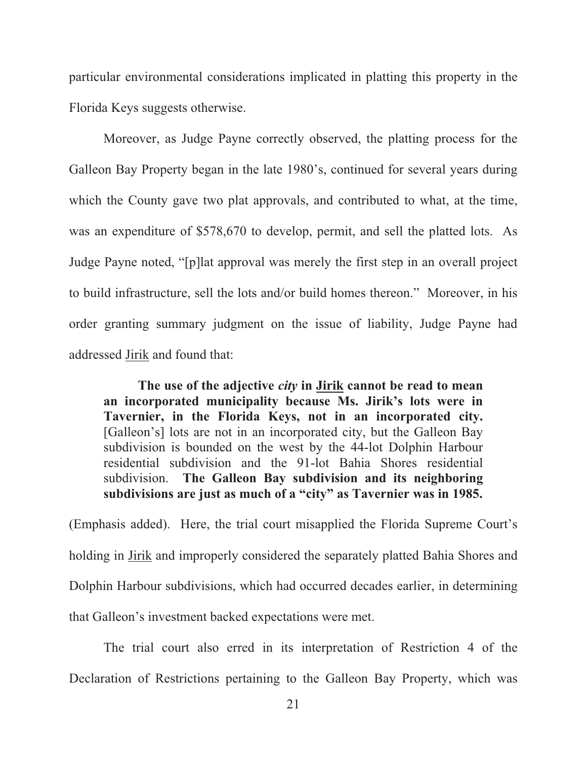particular environmental considerations implicated in platting this property in the Florida Keys suggests otherwise.

Moreover, as Judge Payne correctly observed, the platting process for the Galleon Bay Property began in the late 1980's, continued for several years during which the County gave two plat approvals, and contributed to what, at the time, was an expenditure of \$578,670 to develop, permit, and sell the platted lots. As Judge Payne noted, "[p]lat approval was merely the first step in an overall project to build infrastructure, sell the lots and/or build homes thereon." Moreover, in his order granting summary judgment on the issue of liability, Judge Payne had addressed Jirik and found that:

**The use of the adjective** *city* **in Jirik cannot be read to mean an incorporated municipality because Ms. Jirik's lots were in Tavernier, in the Florida Keys, not in an incorporated city.** [Galleon's] lots are not in an incorporated city, but the Galleon Bay subdivision is bounded on the west by the 44-lot Dolphin Harbour residential subdivision and the 91-lot Bahia Shores residential subdivision. **The Galleon Bay subdivision and its neighboring subdivisions are just as much of a "city" as Tavernier was in 1985.**

(Emphasis added). Here, the trial court misapplied the Florida Supreme Court's holding in Jirik and improperly considered the separately platted Bahia Shores and Dolphin Harbour subdivisions, which had occurred decades earlier, in determining that Galleon's investment backed expectations were met.

The trial court also erred in its interpretation of Restriction 4 of the Declaration of Restrictions pertaining to the Galleon Bay Property, which was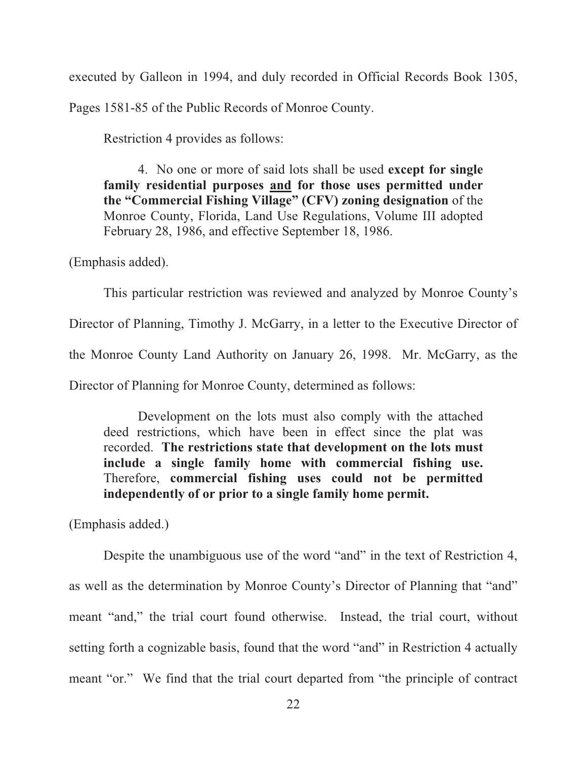executed by Galleon in 1994, and duly recorded in Official Records Book 1305, Pages 1581-85 of the Public Records of Monroe County.

Restriction 4 provides as follows:

4. No one or more of said lots shall be used **except for single family residential purposes and for those uses permitted under the "Commercial Fishing Village" (CFV) zoning designation** of the Monroe County, Florida, Land Use Regulations, Volume III adopted February 28, 1986, and effective September 18, 1986.

(Emphasis added).

This particular restriction was reviewed and analyzed by Monroe County's Director of Planning, Timothy J. McGarry, in a letter to the Executive Director of the Monroe County Land Authority on January 26, 1998. Mr. McGarry, as the Director of Planning for Monroe County, determined as follows:

Development on the lots must also comply with the attached deed restrictions, which have been in effect since the plat was recorded. **The restrictions state that development on the lots must include a single family home with commercial fishing use.** Therefore, **commercial fishing uses could not be permitted independently of or prior to a single family home permit.**

(Emphasis added.)

Despite the unambiguous use of the word "and" in the text of Restriction 4, as well as the determination by Monroe County's Director of Planning that "and" meant "and," the trial court found otherwise. Instead, the trial court, without setting forth a cognizable basis, found that the word "and" in Restriction 4 actually meant "or." We find that the trial court departed from "the principle of contract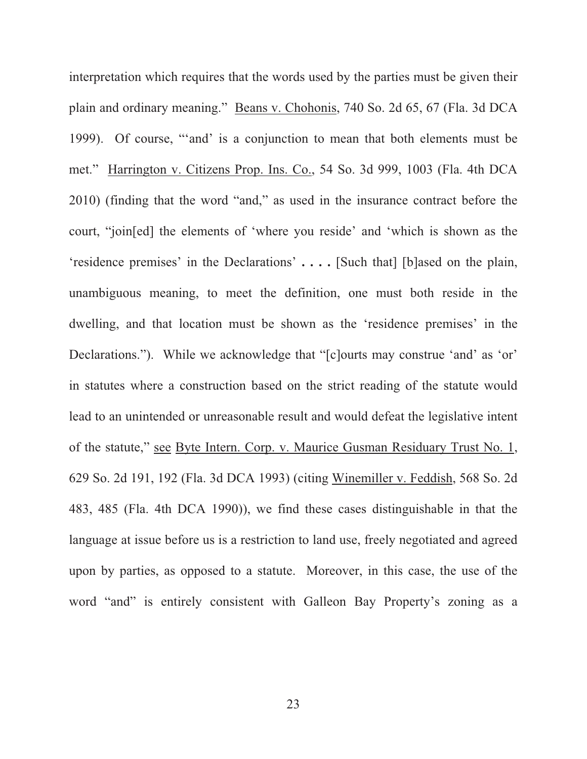interpretation which requires that the words used by the parties must be given their plain and ordinary meaning." Beans v. Chohonis, 740 So. 2d 65, 67 (Fla. 3d DCA 1999). Of course, "'and' is a conjunction to mean that both elements must be met." Harrington v. Citizens Prop. Ins. Co., 54 So. 3d 999, 1003 (Fla. 4th DCA 2010) (finding that the word "and," as used in the insurance contract before the court, "join[ed] the elements of 'where you reside' and 'which is shown as the 'residence premises' in the Declarations' **. . . .** [Such that] [b]ased on the plain, unambiguous meaning, to meet the definition, one must both reside in the dwelling, and that location must be shown as the 'residence premises' in the Declarations."). While we acknowledge that "[c]ourts may construe 'and' as 'or' in statutes where a construction based on the strict reading of the statute would lead to an unintended or unreasonable result and would defeat the legislative intent of the statute," see Byte Intern. Corp. v. Maurice Gusman Residuary Trust No. 1, 629 So. 2d 191, 192 (Fla. 3d DCA 1993) (citing Winemiller v. Feddish, 568 So. 2d 483, 485 (Fla. 4th DCA 1990)), we find these cases distinguishable in that the language at issue before us is a restriction to land use, freely negotiated and agreed upon by parties, as opposed to a statute. Moreover, in this case, the use of the word "and" is entirely consistent with Galleon Bay Property's zoning as a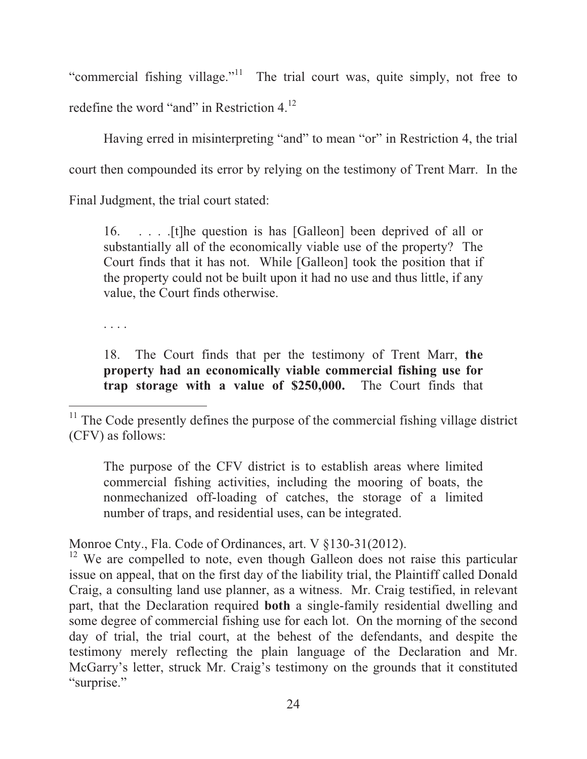"commercial fishing village."<sup>11</sup> The trial court was, quite simply, not free to redefine the word "and" in Restriction 4.12

Having erred in misinterpreting "and" to mean "or" in Restriction 4, the trial court then compounded its error by relying on the testimony of Trent Marr. In the Final Judgment, the trial court stated:

16. . . . .[t]he question is has [Galleon] been deprived of all or substantially all of the economically viable use of the property? The Court finds that it has not. While [Galleon] took the position that if the property could not be built upon it had no use and thus little, if any value, the Court finds otherwise.

. . . .

 $\overline{a}$ 

18. The Court finds that per the testimony of Trent Marr, **the property had an economically viable commercial fishing use for trap storage with a value of \$250,000.** The Court finds that

The purpose of the CFV district is to establish areas where limited commercial fishing activities, including the mooring of boats, the nonmechanized off-loading of catches, the storage of a limited number of traps, and residential uses, can be integrated.

Monroe Cnty., Fla. Code of Ordinances, art. V §130-31(2012).

<sup>12</sup> We are compelled to note, even though Galleon does not raise this particular issue on appeal, that on the first day of the liability trial, the Plaintiff called Donald Craig, a consulting land use planner, as a witness. Mr. Craig testified, in relevant part, that the Declaration required **both** a single-family residential dwelling and some degree of commercial fishing use for each lot. On the morning of the second day of trial, the trial court, at the behest of the defendants, and despite the testimony merely reflecting the plain language of the Declaration and Mr. McGarry's letter, struck Mr. Craig's testimony on the grounds that it constituted "surprise."

 $11$ <sup>11</sup> The Code presently defines the purpose of the commercial fishing village district (CFV) as follows: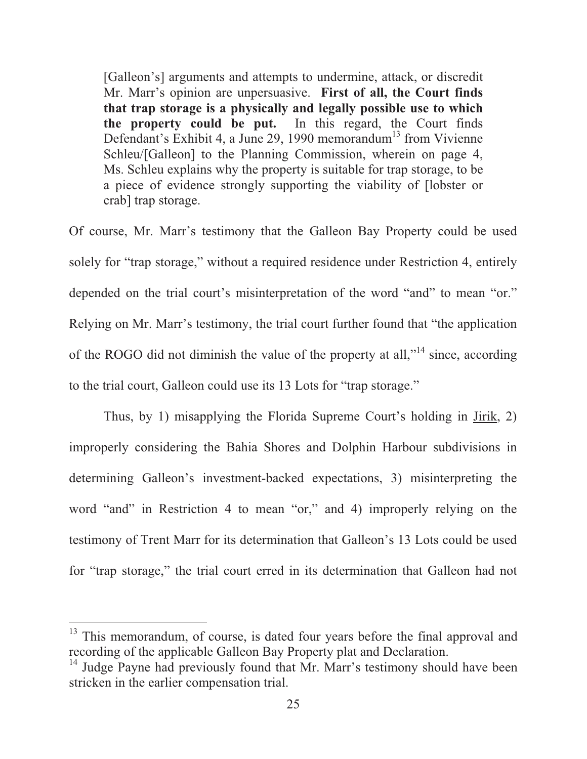[Galleon's] arguments and attempts to undermine, attack, or discredit Mr. Marr's opinion are unpersuasive. **First of all, the Court finds that trap storage is a physically and legally possible use to which the property could be put.** In this regard, the Court finds Defendant's Exhibit 4, a June 29, 1990 memorandum<sup>13</sup> from Vivienne Schleu/[Galleon] to the Planning Commission, wherein on page 4, Ms. Schleu explains why the property is suitable for trap storage, to be a piece of evidence strongly supporting the viability of [lobster or crab] trap storage.

Of course, Mr. Marr's testimony that the Galleon Bay Property could be used solely for "trap storage," without a required residence under Restriction 4, entirely depended on the trial court's misinterpretation of the word "and" to mean "or." Relying on Mr. Marr's testimony, the trial court further found that "the application of the ROGO did not diminish the value of the property at all,"<sup>14</sup> since, according to the trial court, Galleon could use its 13 Lots for "trap storage."

Thus, by 1) misapplying the Florida Supreme Court's holding in Jirik, 2) improperly considering the Bahia Shores and Dolphin Harbour subdivisions in determining Galleon's investment-backed expectations, 3) misinterpreting the word "and" in Restriction 4 to mean "or," and 4) improperly relying on the testimony of Trent Marr for its determination that Galleon's 13 Lots could be used for "trap storage," the trial court erred in its determination that Galleon had not

<sup>&</sup>lt;sup>13</sup> This memorandum, of course, is dated four years before the final approval and recording of the applicable Galleon Bay Property plat and Declaration.

<sup>&</sup>lt;sup>14</sup> Judge Payne had previously found that Mr. Marr's testimony should have been stricken in the earlier compensation trial.